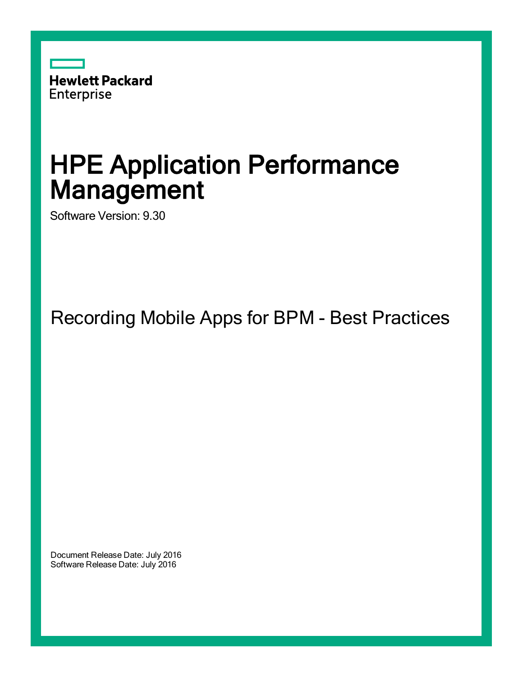

# HPE Application Performance **Management**

Software Version: 9.30

Recording Mobile Apps for BPM - Best Practices

Document Release Date: July 2016 Software Release Date: July 2016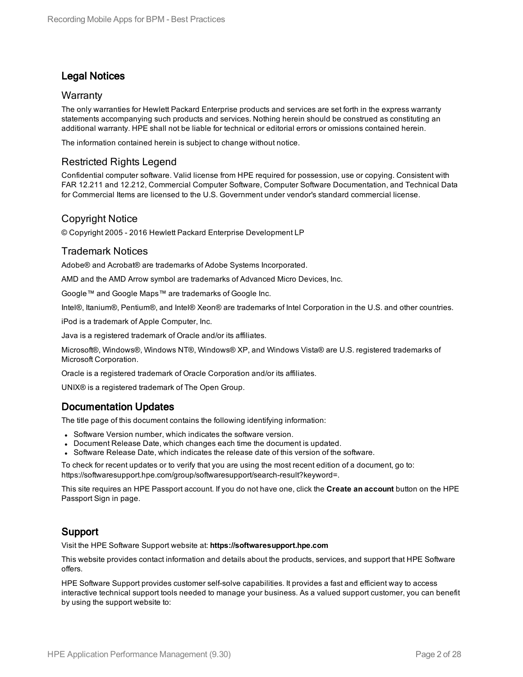### Legal Notices

#### **Warranty**

The only warranties for Hewlett Packard Enterprise products and services are set forth in the express warranty statements accompanying such products and services. Nothing herein should be construed as constituting an additional warranty. HPE shall not be liable for technical or editorial errors or omissions contained herein.

The information contained herein is subject to change without notice.

### Restricted Rights Legend

Confidential computer software. Valid license from HPE required for possession, use or copying. Consistent with FAR 12.211 and 12.212, Commercial Computer Software, Computer Software Documentation, and Technical Data for Commercial Items are licensed to the U.S. Government under vendor's standard commercial license.

#### Copyright Notice

© Copyright 2005 - 2016 Hewlett Packard Enterprise Development LP

#### Trademark Notices

Adobe® and Acrobat® are trademarks of Adobe Systems Incorporated.

AMD and the AMD Arrow symbol are trademarks of Advanced Micro Devices, Inc.

Google™ and Google Maps™ are trademarks of Google Inc.

Intel®, Itanium®, Pentium®, and Intel® Xeon® are trademarks of Intel Corporation in the U.S. and other countries.

iPod is a trademark of Apple Computer, Inc.

Java is a registered trademark of Oracle and/or its affiliates.

Microsoft®, Windows®, Windows NT®, Windows® XP, and Windows Vista® are U.S. registered trademarks of Microsoft Corporation.

Oracle is a registered trademark of Oracle Corporation and/or its affiliates.

UNIX® is a registered trademark of The Open Group.

#### Documentation Updates

The title page of this document contains the following identifying information:

- Software Version number, which indicates the software version.
- Document Release Date, which changes each time the document is updated.
- Software Release Date, which indicates the release date of this version of the software.

To check for recent updates or to verify that you are using the most recent edition of a document, go to: https://softwaresupport.hpe.com/group/softwaresupport/search-result?keyword=.

This site requires an HPE Passport account. If you do not have one, click the **Create an account** button on the HPE Passport Sign in page.

### Support

Visit the HPE Software Support website at: **https://softwaresupport.hpe.com**

This website provides contact information and details about the products, services, and support that HPE Software offers.

HPE Software Support provides customer self-solve capabilities. It provides a fast and efficient way to access interactive technical support tools needed to manage your business. As a valued support customer, you can benefit by using the support website to: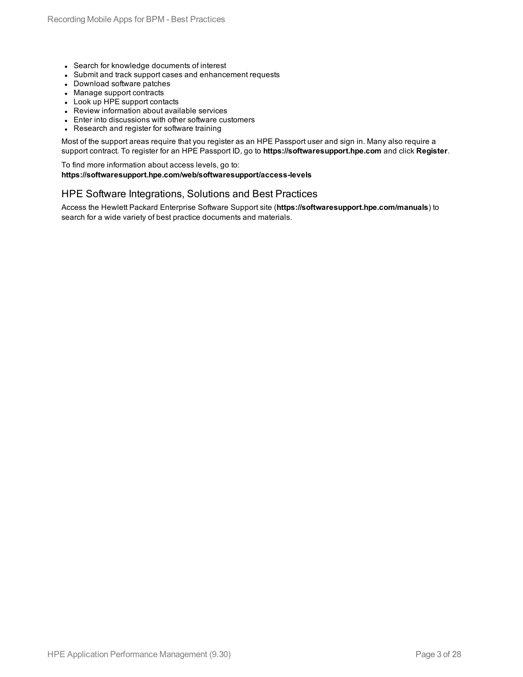- Search for knowledge documents of interest
- Submit and track support cases and enhancement requests
- Download software patches
- Manage support contracts
- Look up HPE support contacts
- Review information about available services
- Enter into discussions with other software customers
- Research and register for software training

Most of the support areas require that you register as an HPE Passport user and sign in. Many also require a support contract. To register for an HPE Passport ID, go to **https://softwaresupport.hpe.com** and click **Register**.

To find more information about access levels, go to: **https://softwaresupport.hpe.com/web/softwaresupport/access-levels**

#### HPE Software Integrations, Solutions and Best Practices

Access the Hewlett Packard Enterprise Software Support site (**https://softwaresupport.hpe.com/manuals**) to search for a wide variety of best practice documents and materials.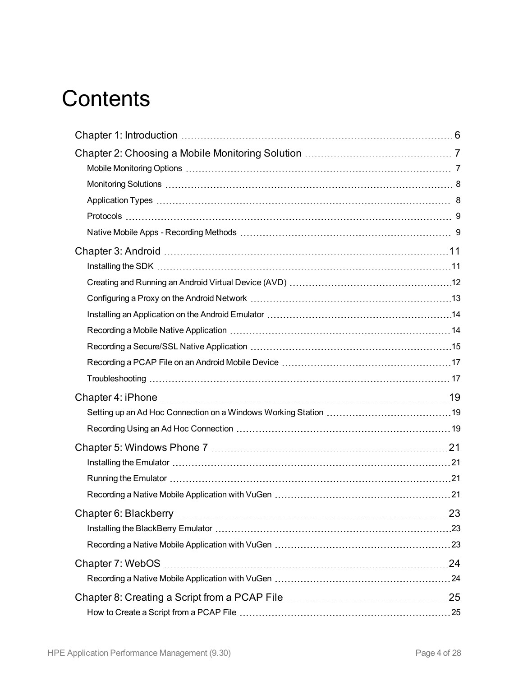# **Contents**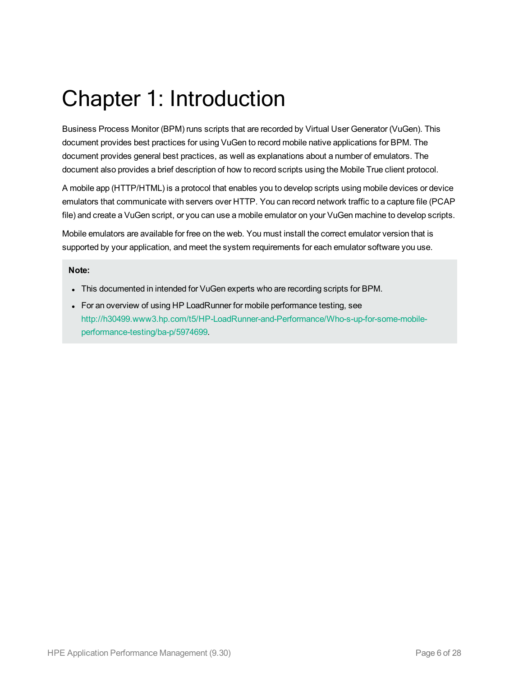# <span id="page-5-0"></span>Chapter 1: Introduction

Business Process Monitor (BPM) runs scripts that are recorded by Virtual User Generator (VuGen). This document provides best practices for using VuGen to record mobile native applications for BPM. The document provides general best practices, as well as explanations about a number of emulators. The document also provides a brief description of how to record scripts using the Mobile True client protocol.

A mobile app (HTTP/HTML) is a protocol that enables you to develop scripts using mobile devices or device emulators that communicate with servers over HTTP. You can record network traffic to a capture file (PCAP file) and create a VuGen script, or you can use a mobile emulator on your VuGen machine to develop scripts.

Mobile emulators are available for free on the web. You must install the correct emulator version that is supported by your application, and meet the system requirements for each emulator software you use.

#### **Note:**

- This documented in intended for VuGen experts who are recording scripts for BPM.
- For an overview of using HP LoadRunner for mobile performance testing, see [http://h30499.www3.hp.com/t5/HP-LoadRunner-and-Performance/Who-s-up-for-some-mobile](http://h30499.www3.hp.com/t5/HP-LoadRunner-and-Performance/Who-s-up-for-some-mobile-performance-testing/ba-p/5974699)[performance-testing/ba-p/5974699](http://h30499.www3.hp.com/t5/HP-LoadRunner-and-Performance/Who-s-up-for-some-mobile-performance-testing/ba-p/5974699).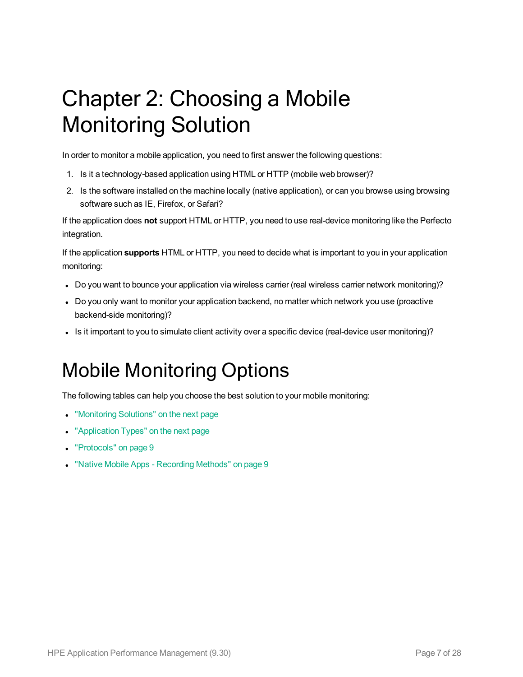# <span id="page-6-0"></span>Chapter 2: Choosing a Mobile Monitoring Solution

In order to monitor a mobile application, you need to first answer the following questions:

- 1. Is it a technology-based application using HTML or HTTP (mobile web browser)?
- 2. Is the software installed on the machine locally (native application), or can you browse using browsing software such as IE, Firefox, or Safari?

If the application does **not** support HTML or HTTP, you need to use real-device monitoring like the Perfecto integration.

If the application **supports** HTML or HTTP, you need to decide what is important to you in your application monitoring:

- Do you want to bounce your application via wireless carrier (real wireless carrier network monitoring)?
- Do you only want to monitor your application backend, no matter which network you use (proactive backend-side monitoring)?
- <span id="page-6-1"></span>Is it important to you to simulate client activity over a specific device (real-device user monitoring)?

## Mobile Monitoring Options

The following tables can help you choose the best solution to your mobile monitoring:

- ["Monitoring](#page-7-0) Solutions" on the next page
- ["Application](#page-7-1) Types" on the next page
- ["Protocols"](#page-8-0) on page 9
- "Native Mobile Apps [Recording](#page-8-1) Methods" on page 9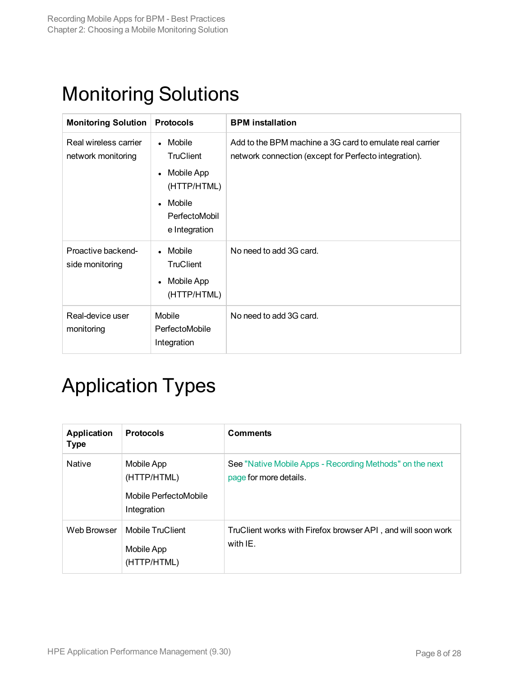## <span id="page-7-0"></span>Monitoring Solutions

| <b>Monitoring Solution</b>                  | <b>Protocols</b>                                                                                                                           | <b>BPM</b> installation                                                                                           |
|---------------------------------------------|--------------------------------------------------------------------------------------------------------------------------------------------|-------------------------------------------------------------------------------------------------------------------|
| Real wireless carrier<br>network monitoring | Mobile<br>$\bullet$<br><b>TruClient</b><br>Mobile App<br>$\bullet$<br>(HTTP/HTML)<br>Mobile<br>$\bullet$<br>PerfectoMobil<br>e Integration | Add to the BPM machine a 3G card to emulate real carrier<br>network connection (except for Perfecto integration). |
| Proactive backend-<br>side monitoring       | Mobile<br><b>TruClient</b><br>Mobile App<br>$\bullet$<br>(HTTP/HTML)                                                                       | No need to add 3G card.                                                                                           |
| Real-device user<br>monitoring              | Mobile<br>PerfectoMobile<br>Integration                                                                                                    | No need to add 3G card.                                                                                           |

## <span id="page-7-1"></span>Application Types

| <b>Application</b><br><b>Type</b> | <b>Protocols</b>                                                  | <b>Comments</b>                                                                    |
|-----------------------------------|-------------------------------------------------------------------|------------------------------------------------------------------------------------|
| <b>Native</b>                     | Mobile App<br>(HTTP/HTML)<br>Mobile PerfectoMobile<br>Integration | See "Native Mobile Apps - Recording Methods" on the next<br>page for more details. |
| Web Browser                       | <b>Mobile TruClient</b><br>Mobile App<br>(HTTP/HTML)              | TruClient works with Firefox browser API, and will soon work<br>with IE.           |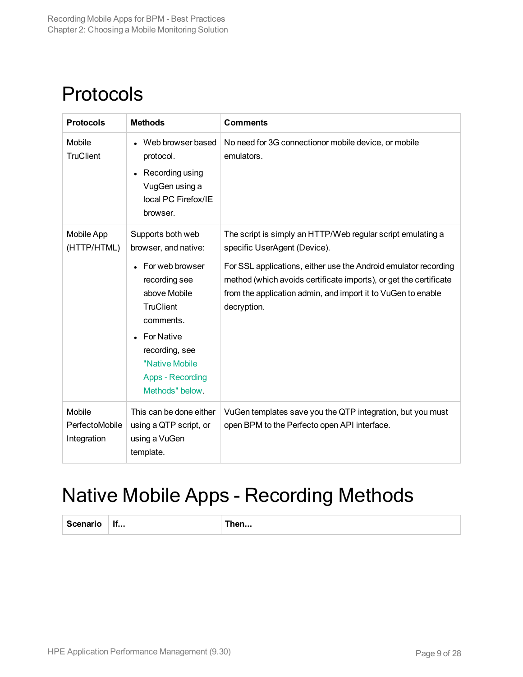### <span id="page-8-0"></span>Protocols

| <b>Protocols</b>                        | <b>Methods</b>                                                                                                                                                                    | <b>Comments</b>                                                                                                                                                                                                     |
|-----------------------------------------|-----------------------------------------------------------------------------------------------------------------------------------------------------------------------------------|---------------------------------------------------------------------------------------------------------------------------------------------------------------------------------------------------------------------|
| Mobile<br><b>TruClient</b>              | Web browser based<br>protocol.<br>Recording using<br>VugGen using a<br>local PC Firefox/IE<br>browser.                                                                            | No need for 3G connectionor mobile device, or mobile<br>emulators.                                                                                                                                                  |
| <b>Mobile App</b><br>(HTTP/HTML)        | Supports both web<br>browser, and native:                                                                                                                                         | The script is simply an HTTP/Web regular script emulating a<br>specific UserAgent (Device).                                                                                                                         |
|                                         | For web browser<br>recording see<br>above Mobile<br><b>TruClient</b><br>comments.<br><b>For Native</b><br>recording, see<br>"Native Mobile<br>Apps - Recording<br>Methods" below. | For SSL applications, either use the Android emulator recording<br>method (which avoids certificate imports), or get the certificate<br>from the application admin, and import it to VuGen to enable<br>decryption. |
| Mobile<br>PerfectoMobile<br>Integration | This can be done either<br>using a QTP script, or<br>using a VuGen<br>template.                                                                                                   | VuGen templates save you the QTP integration, but you must<br>open BPM to the Perfecto open API interface.                                                                                                          |

### <span id="page-8-1"></span>Native Mobile Apps - Recording Methods

**Scenario If... Then...**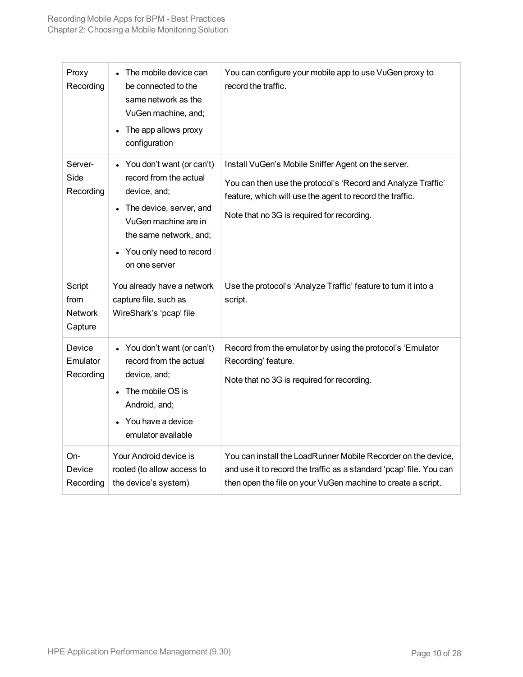| Proxy<br>Recording                          | The mobile device can<br>be connected to the<br>same network as the<br>VuGen machine, and;<br>The app allows proxy<br>configuration                                                                       | You can configure your mobile app to use VuGen proxy to<br>record the traffic.                                                                                                                                                |
|---------------------------------------------|-----------------------------------------------------------------------------------------------------------------------------------------------------------------------------------------------------------|-------------------------------------------------------------------------------------------------------------------------------------------------------------------------------------------------------------------------------|
| Server-<br>Side<br>Recording                | You don't want (or can't)<br>record from the actual<br>device, and;<br>The device, server, and<br>$\bullet$<br>VuGen machine are in<br>the same network, and;<br>You only need to record<br>on one server | Install VuGen's Mobile Sniffer Agent on the server.<br>You can then use the protocol's 'Record and Analyze Traffic'<br>feature, which will use the agent to record the traffic.<br>Note that no 3G is required for recording. |
| Script<br>from<br><b>Network</b><br>Capture | You already have a network<br>capture file, such as<br>WireShark's 'pcap' file                                                                                                                            | Use the protocol's 'Analyze Traffic' feature to turn it into a<br>script.                                                                                                                                                     |
| Device<br>Emulator<br>Recording             | • You don't want (or can't)<br>record from the actual<br>device, and;<br>The mobile OS is<br>Android, and;<br>You have a device<br>emulator available                                                     | Record from the emulator by using the protocol's 'Emulator<br>Recording' feature.<br>Note that no 3G is required for recording.                                                                                               |
| On-<br>Device<br>Recording                  | Your Android device is<br>rooted (to allow access to<br>the device's system)                                                                                                                              | You can install the LoadRunner Mobile Recorder on the device,<br>and use it to record the traffic as a standard 'pcap' file. You can<br>then open the file on your VuGen machine to create a script.                          |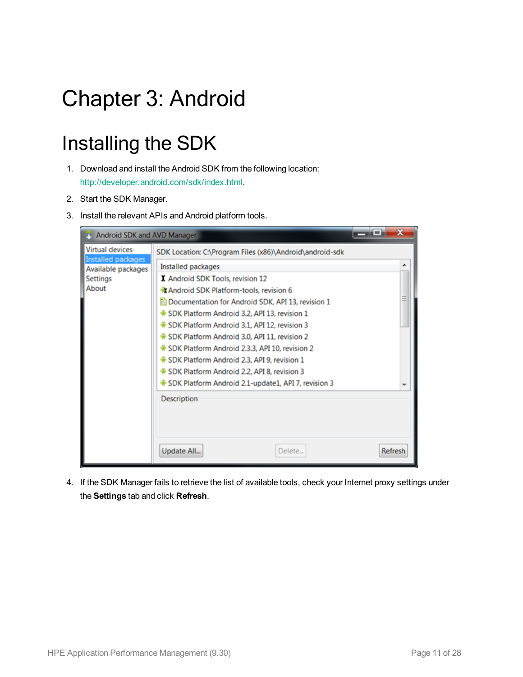# <span id="page-10-0"></span>Chapter 3: Android

## <span id="page-10-1"></span>Installing the SDK

- 1. Download and install the Android SDK from the following location: <http://developer.android.com/sdk/index.html>.
- 2. Start the SDK Manager.
- 3. Install the relevant APIs and Android platform tools.

| Android SDK and AVD Manager                                                                    |                                                                                                                                                                                                                                                                                                                            | x<br>د د |
|------------------------------------------------------------------------------------------------|----------------------------------------------------------------------------------------------------------------------------------------------------------------------------------------------------------------------------------------------------------------------------------------------------------------------------|----------|
| <b>Virtual devices</b><br>Installed packages<br>Available packages<br><b>Settings</b><br>About | SDK Location: C:\Program Files (x86)\Android\android-sdk<br>Installed packages<br>X Android SDK Tools, revision 12<br><b>R</b> Android SDK Platform-tools, revision 6<br>Documentation for Android SDK, API 13, revision 1<br>SDK Platform Android 3.2, API 13, revision 1<br>SDK Platform Android 3.1, API 12, revision 3 |          |
|                                                                                                | SDK Platform Android 3.0, API 11, revision 2<br>SDK Platform Android 2.3.3, API 10, revision 2<br>SDK Platform Android 2.3, API 9, revision 1<br>SDK Platform Android 2.2, API 8, revision 3<br>SDK Platform Android 2.1-update1, API 7, revision 3<br><b>Description</b>                                                  |          |
|                                                                                                | Update All<br>Delete                                                                                                                                                                                                                                                                                                       | Refresh  |

4. If the SDK Manager fails to retrieve the list of available tools, check your Internet proxy settings under the **Settings** tab and click **Refresh**.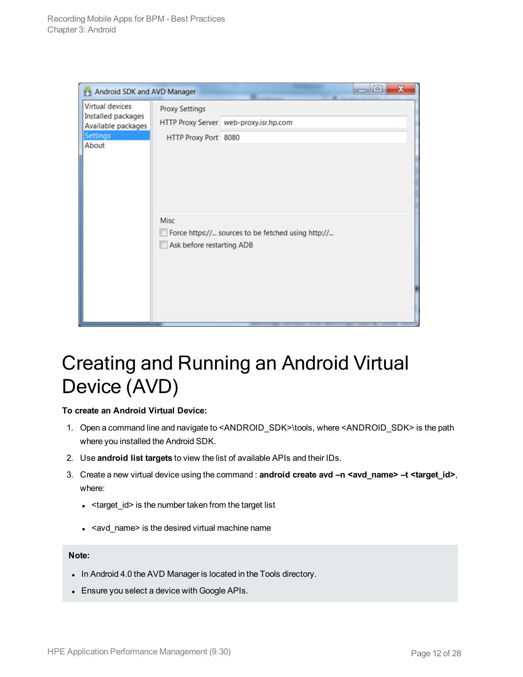| Android SDK and AVD Manager                                                                    |                                               | $=$ $\Box$                                         |
|------------------------------------------------------------------------------------------------|-----------------------------------------------|----------------------------------------------------|
| <b>Virtual devices</b><br>Installed packages<br>Available packages<br><b>Settings</b><br>About | <b>Proxy Settings</b><br>HTTP Proxy Port 8080 | HTTP Proxy Server web-proxy.isr.hp.com             |
|                                                                                                | Misc<br>Ask before restarting ADB             | Force https:// sources to be fetched using http:// |

### <span id="page-11-0"></span>Creating and Running an Android Virtual Device (AVD)

#### **To create an Android Virtual Device:**

- 1. Open a command line and navigate to <ANDROID\_SDK>\tools, where <ANDROID\_SDK> is the path where you installed the Android SDK.
- 2. Use **android list targets** to view the list of available APIs and their IDs.
- 3. Create a new virtual device using the command : **android create avd –n <avd\_name> –t <target\_id>**, where:
	- $\cdot$  <target\_id> is the number taken from the target list
	- $\cdot$  <avd\_name> is the desired virtual machine name

#### **Note:**

- In Android 4.0 the AVD Manager is located in the Tools directory.
- Ensure you select a device with Google APIs.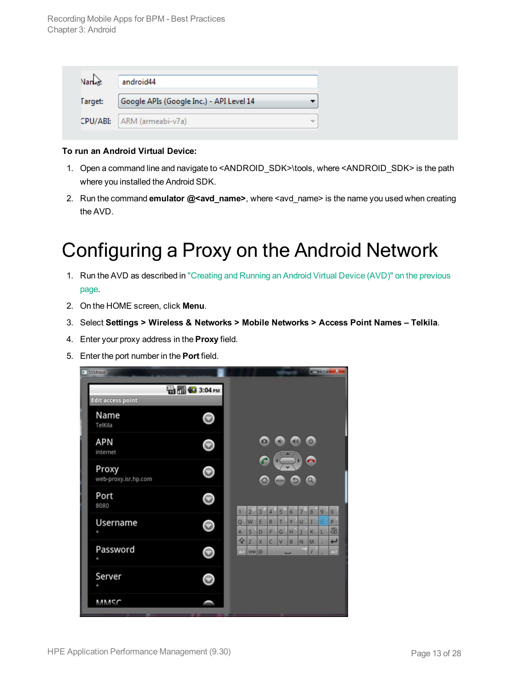| Nan <sub>n</sub> | android44                                |   |
|------------------|------------------------------------------|---|
| Target:          | Google APIs (Google Inc.) - API Level 14 |   |
|                  | CPU/ABI:   ARM (armeabi-v7a)             | ÷ |

#### **To run an Android Virtual Device:**

- 1. Open a command line and navigate to <ANDROID\_SDK>\tools, where <ANDROID\_SDK> is the path where you installed the Android SDK.
- <span id="page-12-0"></span>2. Run the command **emulator @<avd\_name>**, where <avd\_name> is the name you used when creating the AVD.

## Configuring a Proxy on the Android Network

- 1. Run the AVD as described in ["Creating](#page-11-0) and Running an Android Virtual Device (AVD)" on the previous [page.](#page-11-0)
- 2. On the HOME screen, click **Menu**.
- 3. Select **Settings > Wireless & Networks > Mobile Networks > Access Point Names – Telkila**.
- 4. Enter your proxy address in the **Proxy** field.
- 5. Enter the port number in the **Port** field.

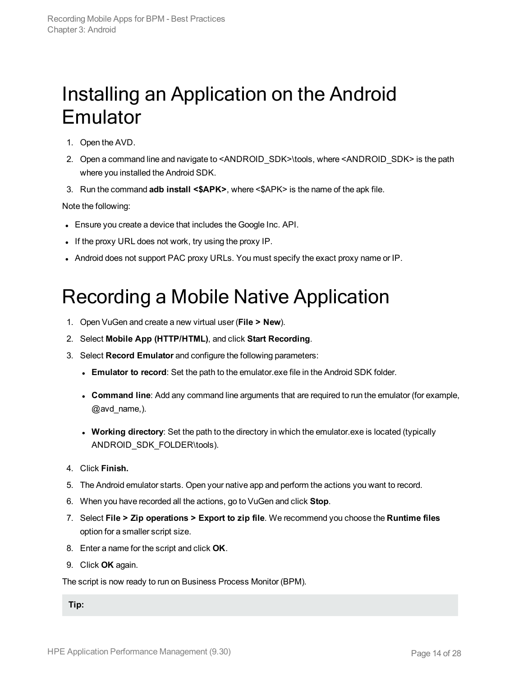### <span id="page-13-0"></span>Installing an Application on the Android Emulator

- 1. Open the AVD.
- 2. Open a command line and navigate to <ANDROID\_SDK>\tools, where <ANDROID\_SDK> is the path where you installed the Android SDK.
- 3. Run the command **adb install <\$APK>**, where <\$APK> is the name of the apk file.

Note the following:

- Ensure you create a device that includes the Google Inc. API.
- If the proxy URL does not work, try using the proxy IP.
- <span id="page-13-1"></span>• Android does not support PAC proxy URLs. You must specify the exact proxy name or IP.

### Recording a Mobile Native Application

- 1. Open VuGen and create a new virtual user (**File > New**).
- 2. Select **Mobile App (HTTP/HTML)**, and click **Start Recording**.
- 3. Select **Record Emulator** and configure the following parameters:
	- **Emulator to record**: Set the path to the emulator.exe file in the Android SDK folder.
	- **Command line**: Add any command line arguments that are required to run the emulator (for example, @avd\_name,).
	- **Working directory**: Set the path to the directory in which the emulator.exe is located (typically ANDROID\_SDK\_FOLDER\tools).
- 4. Click **Finish.**
- 5. The Android emulator starts. Open your native app and perform the actions you want to record.
- 6. When you have recorded all the actions, go to VuGen and click **Stop**.
- 7. Select **File > Zip operations > Export to zip file**. We recommend you choose the **Runtime files** option for a smaller script size.
- 8. Enter a name for the script and click **OK**.
- 9. Click **OK** again.

The script is now ready to run on Business Process Monitor (BPM).

**Tip:**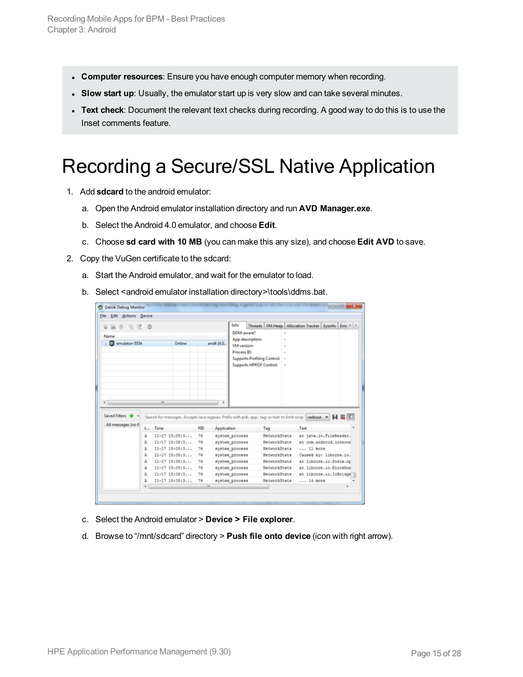- **Computer resources**: Ensure you have enough computer memory when recording.
- <sup>l</sup> **Slow start up**: Usually, the emulator start up is very slow and can take several minutes.
- **Text check**: Document the relevant text checks during recording. A good way to do this is to use the Inset comments feature.

## <span id="page-14-0"></span>Recording a Secure/SSL Native Application

- 1. Add **sdcard** to the android emulator:
	- a. Open the Android emulator installation directory and run **AVD Manager.exe**.
	- b. Select the Android 4.0 emulator, and choose **Edit**.
	- c. Choose **sd card with 10 MB** (you can make this any size), and choose **Edit AVD** to save.
- 2. Copy the VuGen certificate to the sdcard:
	- a. Start the Android emulator, and wait for the emulator to load.
	- b. Select <android emulator installation directory>\tools\ddms.bat.

|                                    | <b>Edit Actions Device</b> |                                                                                                              |        |     |             |                                                         |                                             |                               |                                                              |  |
|------------------------------------|----------------------------|--------------------------------------------------------------------------------------------------------------|--------|-----|-------------|---------------------------------------------------------|---------------------------------------------|-------------------------------|--------------------------------------------------------------|--|
| 玉顶 @<br>R<br>Name<br>emulator-5554 |                            |                                                                                                              | Online |     | and4 [4.0   | Info<br>DDM-aware?<br><b>VM</b> version:<br>Process ID: | App description:<br>Supports HPROF Control: | Supports Profiling Control: - | Threads   VM Heap   Allocation Tracker   Sysinfo   Emi +   * |  |
| $\leftarrow$                       |                            | $\overline{1}$                                                                                               |        |     |             |                                                         |                                             |                               |                                                              |  |
|                                    |                            | Search for messages. Accepts Java regexes. Prefix with pid; app:, tag: or text: to limit scop verbose - H IL |        |     |             |                                                         |                                             |                               |                                                              |  |
| All messages (no fi                | L.                         | Time                                                                                                         |        | PID | Application |                                                         |                                             | Tag                           | Text                                                         |  |
|                                    | A                          | $11-17$ $15:08:3$                                                                                            |        | 76  |             | system process                                          |                                             | NetworkState                  | at java.io.FileReader.                                       |  |
|                                    | A                          | 11-17 15:08:3                                                                                                |        | 76  |             | system process                                          |                                             | NetworkState                  | at com.android.interna                                       |  |
|                                    | A                          | $11-17$ $15:08:3$                                                                                            |        | 76  |             | system process                                          |                                             | NetworkState                  | 11 more                                                      |  |
|                                    | A                          | 11-17 15:08:3                                                                                                |        | 76  |             | system_process                                          |                                             | NetworkState                  | Caused by: libcore.io.                                       |  |
|                                    | A                          | 11-17 15:08:3                                                                                                |        | 76  |             | system_process                                          |                                             | NetworkState                  | at librore.io.Posix.or                                       |  |
| Saved Filters +                    | A                          | 11-17 15:08:3                                                                                                |        | 76  |             | system_process                                          |                                             | NetworkState                  | at librore.io.BlockCus                                       |  |
|                                    | A                          | $11-17$ $15:08:3$                                                                                            |        | 76  |             | system_process                                          |                                             | NetworkStats                  | at librore.io.IoBridge                                       |  |
|                                    | A                          | $11-17$ $15:08:3$                                                                                            |        | 76  |             | system_process                                          |                                             | NetworkState                  | $$ 14 more                                                   |  |

- c. Select the Android emulator > **Device > File explorer**.
- d. Browse to "/mnt/sdcard" directory > **Push file onto device** (icon with right arrow).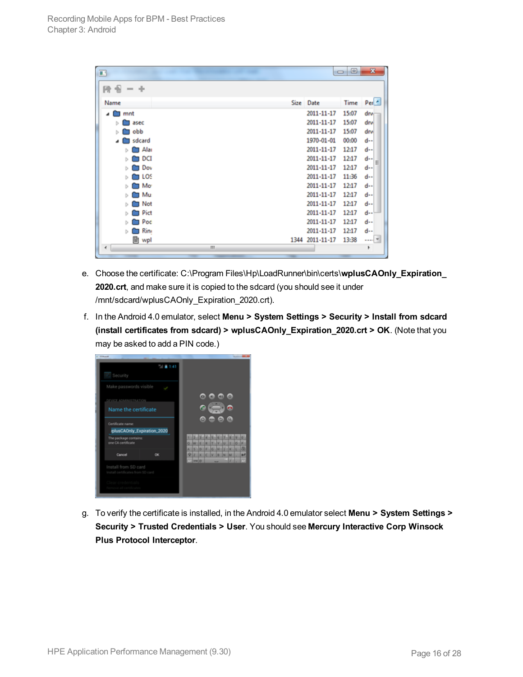| 丽                    |            | ▣<br>$\Box$ | $\mathbf{x}$ |
|----------------------|------------|-------------|--------------|
| 段音<br>- -            |            |             |              |
| Name                 | Size Date  | Time        | $Per^*$      |
| $\blacksquare$ mnt   | 2011-11-17 | 15:07       | drw          |
| asec<br>Ъ<br>−       | 2011-11-17 | 15:07       | drw          |
| obb<br>−<br>b.       | 2011-11-17 | 15:07       | drw          |
| sdcard<br>٠          | 1970-01-01 | 00:00       | $d-$         |
| <b>Car Alan</b><br>Ъ | 2011-11-17 | 12:17       | $d-1$        |
| וס כ<br>Ъ            | 2011-11-17 | 12:17       | $d-$<br>E    |
| Dov<br>r<br>Ъ        | 2011-11-17 | 12:17       | $d-$         |
| <b>THE LOS</b><br>Ъ  | 2011-11-17 | 11:36       | $d -$        |
| <b>I</b> Mo<br>Ъ     | 2011-11-17 | 12:17       | $d-1$        |
| ∐ Mu<br>Ъ            | 2011-11-17 | 12:17       | $d-$         |
| ∐ Not<br>Ъ           | 2011-11-17 | 12:17       | $d-1$        |
| <b>Pict</b><br>Ъ     | 2011-11-17 | 12:17       | $d-$         |
| <b>Poc</b><br>Ъ      | 2011-11-17 | 12:17       | $d-$         |
| <b>Bine</b><br>Ъ     | 2011-11-17 | 12:17       | $d-$         |
| 圖 wpl<br>1344        | 2011-11-17 | 13:38       | $\cdots$     |
| ٠<br>m               |            |             | ٠            |

- e. Choose the certificate: C:\Program Files\Hp\LoadRunner\bin\certs\**wplusCAOnly\_Expiration\_ 2020.crt**, and make sure it is copied to the sdcard (you should see it under /mnt/sdcard/wplusCAOnly\_Expiration\_2020.crt).
- f. In the Android 4.0 emulator, select **Menu > System Settings > Security > Install from sdcard (install certificates from sdcard) > wplusCAOnly\_Expiration\_2020.crt > OK**. (Note that you may be asked to add a PIN code.)



g. To verify the certificate is installed, in the Android 4.0 emulator select **Menu > System Settings > Security > Trusted Credentials > User**. You should see **Mercury Interactive Corp Winsock Plus Protocol Interceptor**.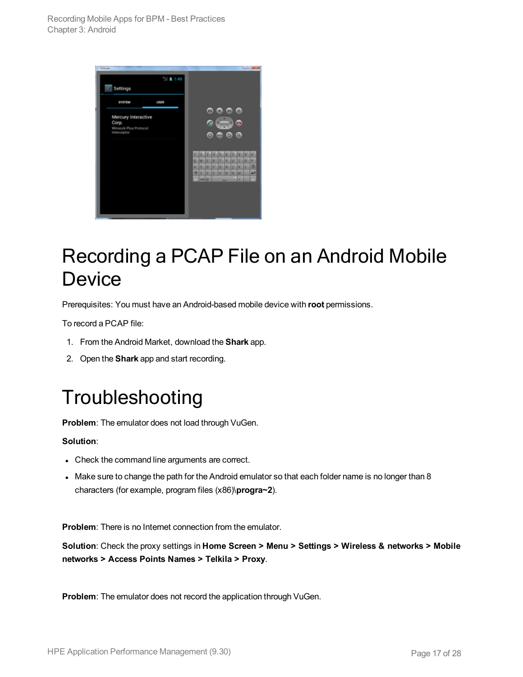| 1 Williams                           | $-148$      |        |            |   |   |                 |    |     |        |   |        |
|--------------------------------------|-------------|--------|------------|---|---|-----------------|----|-----|--------|---|--------|
| Settings                             |             |        |            |   |   |                 |    |     |        |   |        |
| <b>SYSTEM</b>                        | <b>USER</b> |        |            |   |   |                 |    |     |        |   |        |
|                                      |             |        |            | o |   |                 |    |     | ۵      |   |        |
| Mercury Interactive<br>Corp.         |             |        |            |   |   |                 |    |     |        |   |        |
| Winsock Plus Protocol<br>Interceptor |             |        |            |   |   |                 |    |     |        |   |        |
|                                      |             |        |            | Ω |   | <b>ALCOHOL:</b> | в  |     | Q      |   |        |
|                                      |             |        |            |   |   |                 |    |     |        |   |        |
|                                      |             | ٤      | s          | × | ۰ | ×               | ĸ  | ×   | æ      | ø | ø      |
|                                      |             | ۰      | w          | t | × | ۳               | v  | lu  | lı     | o | P.     |
|                                      |             | ×<br>÷ | s<br>z     | ۰ |   | $F$ $G$         | н  | J   | lĸ     | ю | 品<br>ب |
|                                      |             | ю      | sea little | × | c | lv              | lm | lsc | M<br>z |   | ш      |
|                                      |             |        |            |   |   |                 | -  |     |        |   |        |
|                                      |             |        |            |   |   |                 |    |     |        |   |        |
|                                      |             |        |            |   |   |                 |    |     |        |   |        |
|                                      |             |        |            |   |   |                 |    |     |        |   |        |
|                                      |             |        |            |   |   |                 |    |     |        |   |        |

### <span id="page-16-0"></span>Recording a PCAP File on an Android Mobile **Device**

Prerequisites: You must have an Android-based mobile device with **root** permissions.

To record a PCAP file:

- 1. From the Android Market, download the **Shark** app.
- <span id="page-16-1"></span>2. Open the **Shark** app and start recording.

### Troubleshooting

**Problem**: The emulator does not load through VuGen.

#### **Solution**:

- Check the command line arguments are correct.
- Make sure to change the path for the Android emulator so that each folder name is no longer than 8 characters (for example, program files (x86)\**progra~2**).

**Problem**: There is no Internet connection from the emulator.

**Solution**: Check the proxy settings in **Home Screen > Menu > Settings > Wireless & networks > Mobile networks > Access Points Names > Telkila > Proxy**.

**Problem**: The emulator does not record the application through VuGen.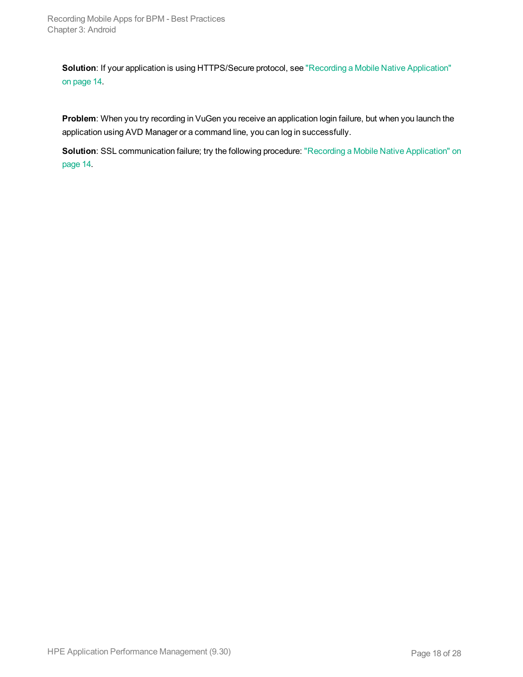**Solution**: If your application is using HTTPS/Secure protocol, see "Recording a Mobile Native [Application"](#page-13-1) on [page](#page-13-1) 14.

**Problem**: When you try recording in VuGen you receive an application login failure, but when you launch the application using AVD Manager or a command line, you can log in successfully.

**Solution**: SSL communication failure; try the following procedure: "Recording a Mobile Native [Application"](#page-13-1) on [page](#page-13-1) 14.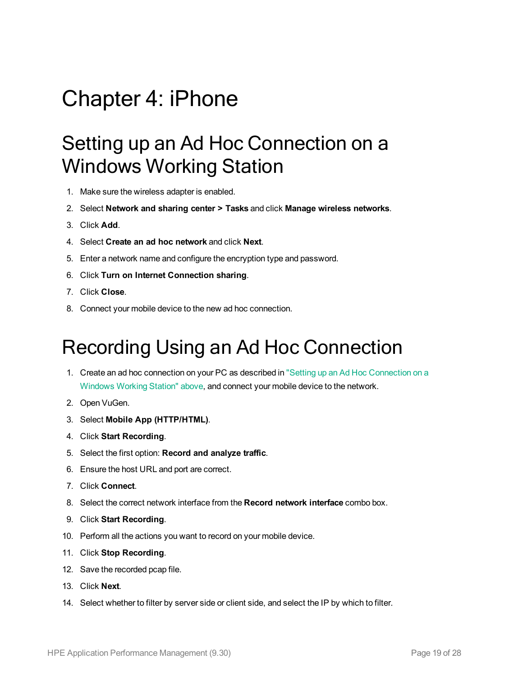## <span id="page-18-1"></span><span id="page-18-0"></span>Chapter 4: iPhone

### Setting up an Ad Hoc Connection on a Windows Working Station

- 1. Make sure the wireless adapter is enabled.
- 2. Select **Network and sharing center > Tasks** and click **Manage wireless networks**.
- 3. Click **Add**.
- 4. Select **Create an ad hoc network** and click **Next**.
- 5. Enter a network name and configure the encryption type and password.
- 6. Click **Turn on Internet Connection sharing**.
- 7. Click **Close**.
- <span id="page-18-2"></span>8. Connect your mobile device to the new ad hoc connection.

## Recording Using an Ad Hoc Connection

- 1. Create an ad hoc connection on your PC as described in "Setting up an Ad Hoc [Connection](#page-18-1) on a [Windows](#page-18-1) Working Station" above, and connect your mobile device to the network.
- 2. Open VuGen.
- 3. Select **Mobile App (HTTP/HTML)**.
- 4. Click **Start Recording**.
- 5. Select the first option: **Record and analyze traffic**.
- 6. Ensure the host URL and port are correct.
- 7. Click **Connect**.
- 8. Select the correct network interface from the **Record network interface** combo box.
- 9. Click **Start Recording**.
- 10. Perform all the actions you want to record on your mobile device.
- 11. Click **Stop Recording**.
- 12. Save the recorded pcap file.
- 13. Click **Next**.
- 14. Select whether to filter by server side or client side, and select the IP by which to filter.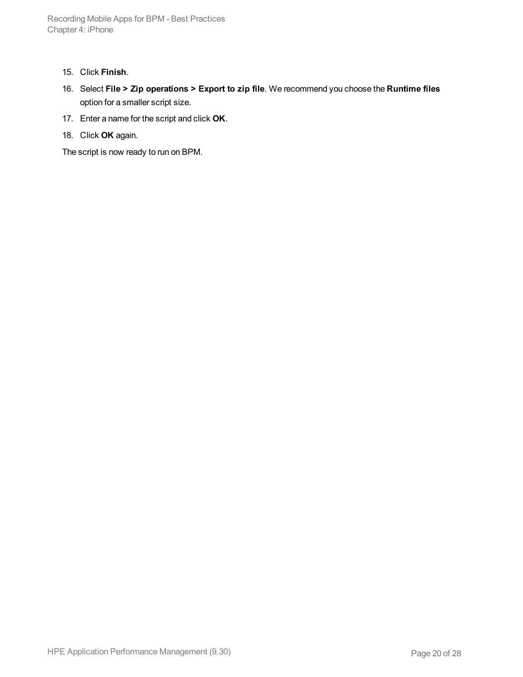- 15. Click **Finish**.
- 16. Select **File > Zip operations > Export to zip file**. We recommend you choose the **Runtime files** option for a smaller script size.
- 17. Enter a name for the script and click **OK**.
- 18. Click **OK** again.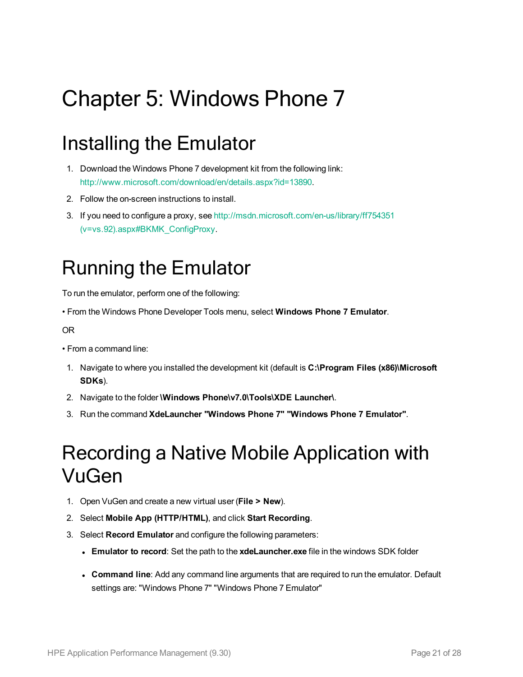# <span id="page-20-0"></span>Chapter 5: Windows Phone 7

## <span id="page-20-1"></span>Installing the Emulator

- 1. Download the Windows Phone 7 development kit from the following link: <http://www.microsoft.com/download/en/details.aspx?id=13890>.
- 2. Follow the on-screen instructions to install.
- 3. If you need to configure a proxy, see [http://msdn.microsoft.com/en-us/library/ff754351](http://msdn.microsoft.com/en-us/library/ff754351(v=vs.92).aspx#BKMK_ConfigProxy) [\(v=vs.92\).aspx#BKMK\\_ConfigProxy](http://msdn.microsoft.com/en-us/library/ff754351(v=vs.92).aspx#BKMK_ConfigProxy).

## <span id="page-20-2"></span>Running the Emulator

To run the emulator, perform one of the following:

• From the Windows Phone Developer Tools menu, select **Windows Phone 7 Emulator**.

OR

- From a command line:
- 1. Navigate to where you installed the development kit (default is **C:\Program Files (x86)\Microsoft SDKs**).
- 2. Navigate to the folder **\Windows Phone\v7.0\Tools\XDE Launcher\**.
- <span id="page-20-3"></span>3. Run the command **XdeLauncher "Windows Phone 7" "Windows Phone 7 Emulator"**.

### Recording a Native Mobile Application with VuGen

- 1. Open VuGen and create a new virtual user (**File > New**).
- 2. Select **Mobile App (HTTP/HTML)**, and click **Start Recording**.
- 3. Select **Record Emulator** and configure the following parameters:
	- **Emulator to record**: Set the path to the **xdeLauncher.exe** file in the windows SDK folder
	- <sup>l</sup> **Command line**: Add any command line arguments that are required to run the emulator. Default settings are: "Windows Phone 7" "Windows Phone 7 Emulator"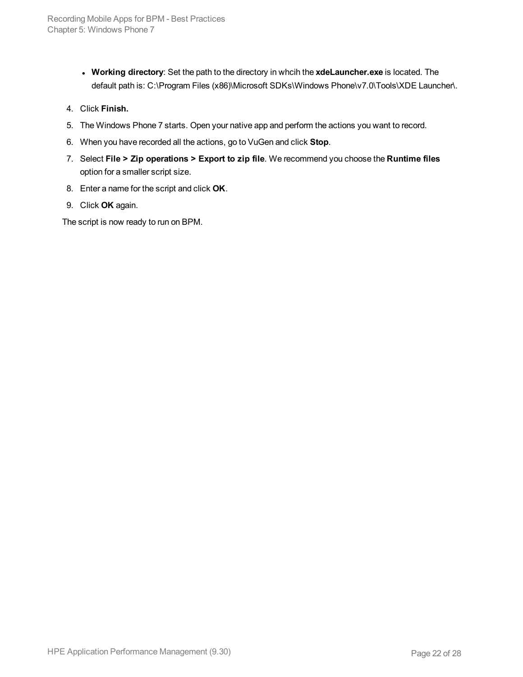- <sup>l</sup> **Working directory**: Set the path to the directory in whcih the **xdeLauncher.exe** is located. The default path is: C:\Program Files (x86)\Microsoft SDKs\Windows Phone\v7.0\Tools\XDE Launcher\.
- 4. Click **Finish.**
- 5. The Windows Phone 7 starts. Open your native app and perform the actions you want to record.
- 6. When you have recorded all the actions, go to VuGen and click **Stop**.
- 7. Select **File > Zip operations > Export to zip file**. We recommend you choose the **Runtime files** option for a smaller script size.
- 8. Enter a name for the script and click **OK**.
- 9. Click **OK** again.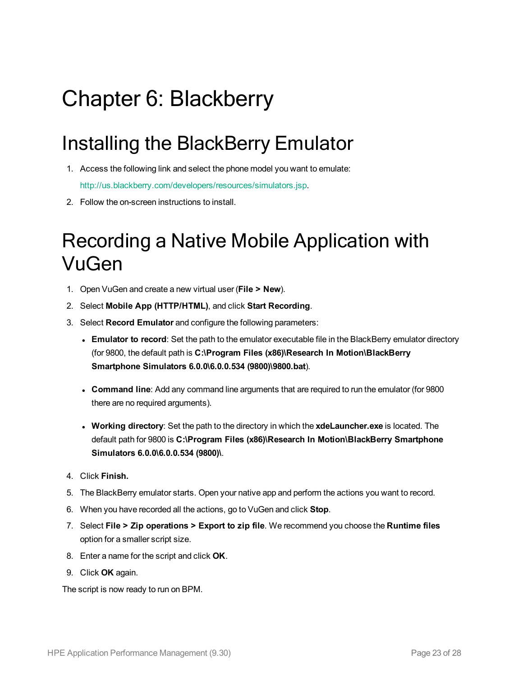# <span id="page-22-0"></span>Chapter 6: Blackberry

## <span id="page-22-1"></span>Installing the BlackBerry Emulator

- 1. Access the following link and select the phone model you want to emulate: <http://us.blackberry.com/developers/resources/simulators.jsp>.
- <span id="page-22-2"></span>2. Follow the on-screen instructions to install.

## Recording a Native Mobile Application with VuGen

- 1. Open VuGen and create a new virtual user (**File > New**).
- 2. Select **Mobile App (HTTP/HTML)**, and click **Start Recording**.
- 3. Select **Record Emulator** and configure the following parameters:
	- <sup>l</sup> **Emulator to record**: Set the path to the emulator executable file in the BlackBerry emulator directory (for 9800, the default path is **C:\Program Files (x86)\Research In Motion\BlackBerry Smartphone Simulators 6.0.0\6.0.0.534 (9800)\9800.bat**).
	- <sup>l</sup> **Command line**: Add any command line arguments that are required to run the emulator (for 9800 there are no required arguments).
	- **Working directory**: Set the path to the directory in which the **xdeLauncher.exe** is located. The default path for 9800 is **C:\Program Files (x86)\Research In Motion\BlackBerry Smartphone Simulators 6.0.0\6.0.0.534 (9800)\**.
- 4. Click **Finish.**
- 5. The BlackBerry emulator starts. Open your native app and perform the actions you want to record.
- 6. When you have recorded all the actions, go to VuGen and click **Stop**.
- 7. Select **File > Zip operations > Export to zip file**. We recommend you choose the **Runtime files** option for a smaller script size.
- 8. Enter a name for the script and click **OK**.
- 9. Click **OK** again.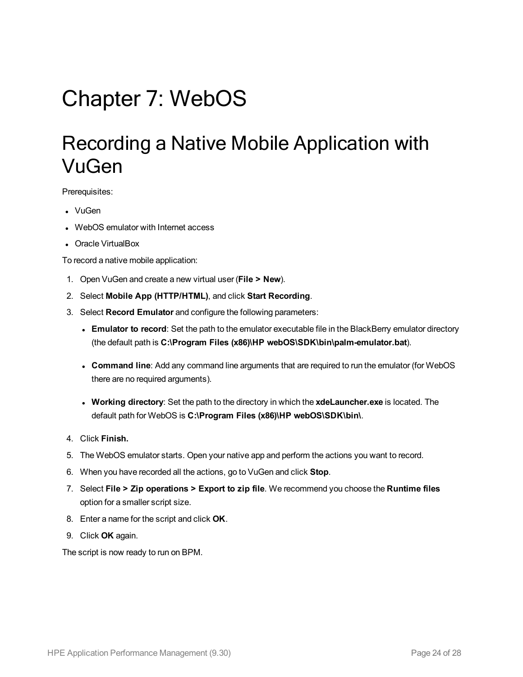# <span id="page-23-1"></span><span id="page-23-0"></span>Chapter 7: WebOS

### Recording a Native Mobile Application with VuGen

Prerequisites:

- VuGen
- WebOS emulator with Internet access
- Oracle VirtualBox

To record a native mobile application:

- 1. Open VuGen and create a new virtual user (**File > New**).
- 2. Select **Mobile App (HTTP/HTML)**, and click **Start Recording**.
- 3. Select **Record Emulator** and configure the following parameters:
	- <sup>l</sup> **Emulator to record**: Set the path to the emulator executable file in the BlackBerry emulator directory (the default path is **C:\Program Files (x86)\HP webOS\SDK\bin\palm-emulator.bat**).
	- **Command line**: Add any command line arguments that are required to run the emulator (for WebOS there are no required arguments).
	- **Working directory**: Set the path to the directory in which the **xdeLauncher.exe** is located. The default path for WebOS is **C:\Program Files (x86)\HP webOS\SDK\bin\**.
- 4. Click **Finish.**
- 5. The WebOS emulator starts. Open your native app and perform the actions you want to record.
- 6. When you have recorded all the actions, go to VuGen and click **Stop**.
- 7. Select **File > Zip operations > Export to zip file**. We recommend you choose the **Runtime files** option for a smaller script size.
- 8. Enter a name for the script and click **OK**.
- 9. Click **OK** again.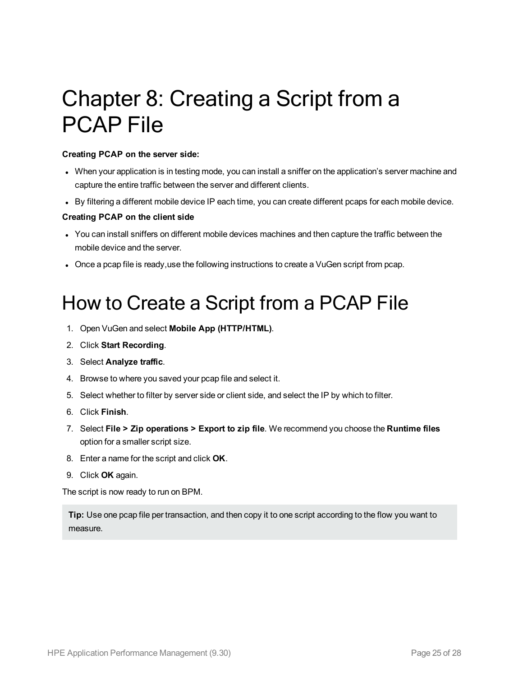# <span id="page-24-0"></span>Chapter 8: Creating a Script from a PCAP File

#### **Creating PCAP on the server side:**

- When your application is in testing mode, you can install a sniffer on the application's server machine and capture the entire traffic between the server and different clients.
- By filtering a different mobile device IP each time, you can create different pcaps for each mobile device.

#### **Creating PCAP on the client side**

- You can install sniffers on different mobile devices machines and then capture the traffic between the mobile device and the server.
- <span id="page-24-1"></span><sup>l</sup> Once a pcap file is ready,use the following instructions to create a VuGen script from pcap.

### How to Create a Script from a PCAP File

- 1. Open VuGen and select **Mobile App (HTTP/HTML)**.
- 2. Click **Start Recording**.
- 3. Select **Analyze traffic**.
- 4. Browse to where you saved your pcap file and select it.
- 5. Select whether to filter by server side or client side, and select the IP by which to filter.
- 6. Click **Finish**.
- 7. Select **File > Zip operations > Export to zip file**. We recommend you choose the **Runtime files** option for a smaller script size.
- 8. Enter a name for the script and click **OK**.
- 9. Click **OK** again.

The script is now ready to run on BPM.

**Tip:** Use one pcap file per transaction, and then copy it to one script according to the flow you want to measure.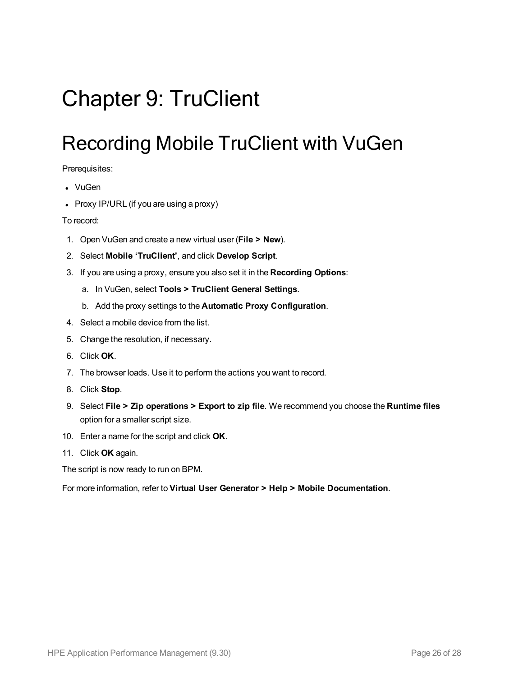# <span id="page-25-1"></span><span id="page-25-0"></span>Chapter 9: TruClient

### Recording Mobile TruClient with VuGen

Prerequisites:

- VuGen
- $\bullet$  Proxy IP/URL (if you are using a proxy)

To record:

- 1. Open VuGen and create a new virtual user (**File > New**).
- 2. Select **Mobile 'TruClient'**, and click **Develop Script**.
- 3. If you are using a proxy, ensure you also set it in the **Recording Options**:
	- a. In VuGen, select **Tools > TruClient General Settings**.
	- b. Add the proxy settings to the **Automatic Proxy Configuration**.
- 4. Select a mobile device from the list.
- 5. Change the resolution, if necessary.
- 6. Click **OK**.
- 7. The browser loads. Use it to perform the actions you want to record.
- 8. Click **Stop**.
- 9. Select **File > Zip operations > Export to zip file**. We recommend you choose the **Runtime files** option for a smaller script size.
- 10. Enter a name for the script and click **OK**.
- 11. Click **OK** again.

The script is now ready to run on BPM.

For more information, refer to **Virtual User Generator > Help > Mobile Documentation**.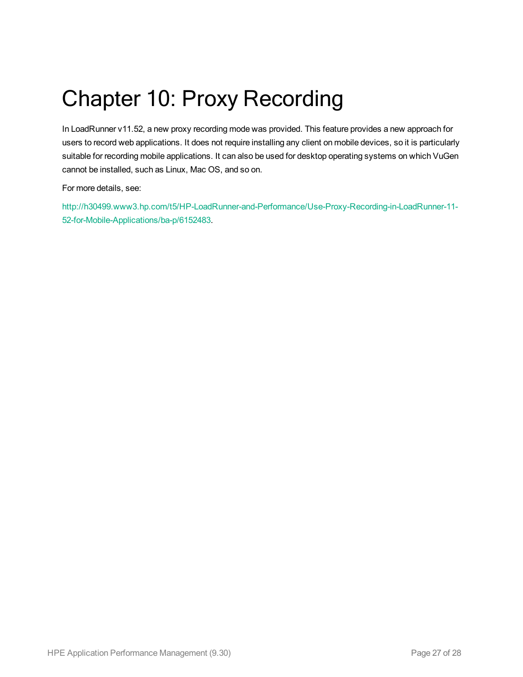# <span id="page-26-0"></span>Chapter 10: Proxy Recording

In LoadRunner v11.52, a new proxy recording mode was provided. This feature provides a new approach for users to record web applications. It does not require installing any client on mobile devices, so it is particularly suitable for recording mobile applications. It can also be used for desktop operating systems on which VuGen cannot be installed, such as Linux, Mac OS, and so on.

For more details, see:

[http://h30499.www3.hp.com/t5/HP-LoadRunner-and-Performance/Use-Proxy-Recording-in-LoadRunner-11-](http://h30499.www3.hp.com/t5/HP-LoadRunner-and-Performance/Use-Proxy-Recording-in-LoadRunner-11-52-for-Mobile-Applications/ba-p/6152483) [52-for-Mobile-Applications/ba-p/6152483.](http://h30499.www3.hp.com/t5/HP-LoadRunner-and-Performance/Use-Proxy-Recording-in-LoadRunner-11-52-for-Mobile-Applications/ba-p/6152483)